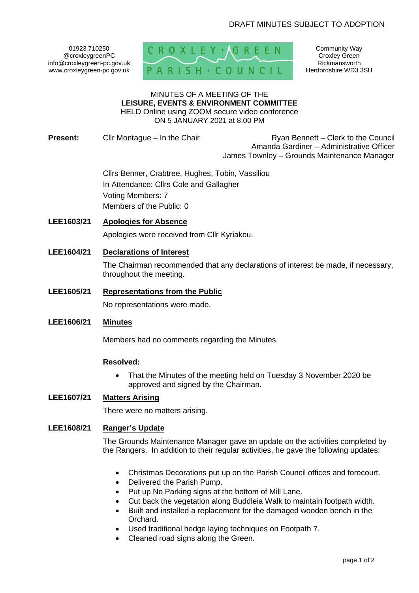01923 710250 @croxleygreenPC info@croxleygreen-pc.gov.uk www.croxleygreen-pc.gov.uk



Community Way Croxley Green Rickmansworth Hertfordshire WD3 3SU

#### MINUTES OF A MEETING OF THE **LEISURE, EVENTS & ENVIRONMENT COMMITTEE** HELD Online using ZOOM secure video conference

ON 5 JANUARY 2021 at 8.00 PM

**Present:** Cllr Montague – In the Chair Ryan Bennett – Clerk to the Council Amanda Gardiner – Administrative Officer James Townley – Grounds Maintenance Manager

> Cllrs Benner, Crabtree, Hughes, Tobin, Vassiliou In Attendance: Cllrs Cole and Gallagher Voting Members: 7 Members of the Public: 0

## **LEE1603/21 Apologies for Absence**

Apologies were received from Cllr Kyriakou.

# **LEE1604/21 Declarations of Interest**

The Chairman recommended that any declarations of interest be made, if necessary, throughout the meeting.

# **LEE1605/21 Representations from the Public**

No representations were made.

#### **LEE1606/21 Minutes**

Members had no comments regarding the Minutes.

## **Resolved:**

• That the Minutes of the meeting held on Tuesday 3 November 2020 be approved and signed by the Chairman.

# **LEE1607/21 Matters Arising**

There were no matters arising.

# **LEE1608/21 Ranger's Update**

The Grounds Maintenance Manager gave an update on the activities completed by the Rangers. In addition to their regular activities, he gave the following updates:

- Christmas Decorations put up on the Parish Council offices and forecourt.
- Delivered the Parish Pump.
- Put up No Parking signs at the bottom of Mill Lane.
- Cut back the vegetation along Buddleia Walk to maintain footpath width.
- Built and installed a replacement for the damaged wooden bench in the Orchard.
- Used traditional hedge laying techniques on Footpath 7.
- Cleaned road signs along the Green.